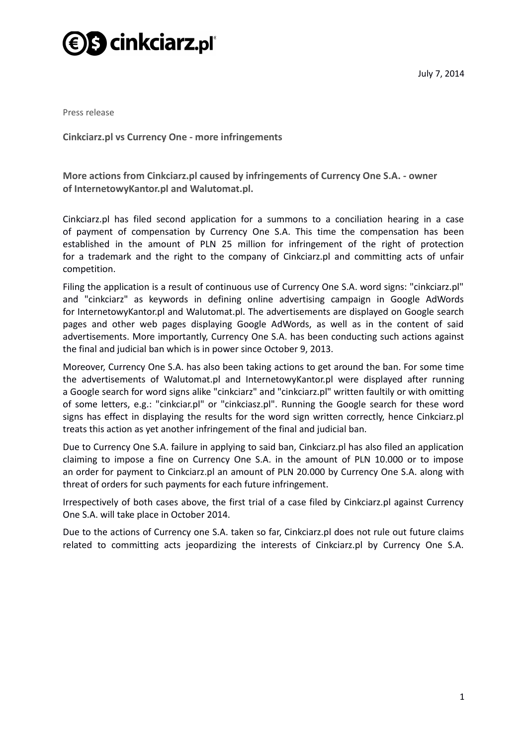

Press release

**Cinkciarz.pl vs Currency One - more infringements**

**More actions from Cinkciarz.pl caused by infringements of Currency One S.A. - owner of InternetowyKantor.pl and Walutomat.pl.**

Cinkciarz.pl has filed second application for a summons to a conciliation hearing in a case of payment of compensation by Currency One S.A. This time the compensation has been established in the amount of PLN 25 million for infringement of the right of protection for a trademark and the right to the company of Cinkciarz.pl and committing acts of unfair competition.

Filing the application is a result of continuous use of Currency One S.A. word signs: "cinkciarz.pl" and "cinkciarz" as keywords in defining online advertising campaign in Google AdWords for InternetowyKantor.pl and Walutomat.pl. The advertisements are displayed on Google search pages and other web pages displaying Google AdWords, as well as in the content of said advertisements. More importantly, Currency One S.A. has been conducting such actions against the final and judicial ban which is in power since October 9, 2013.

Moreover, Currency One S.A. has also been taking actions to get around the ban. For some time the advertisements of Walutomat.pl and InternetowyKantor.pl were displayed after running a Google search for word signs alike "cinkciarz" and "cinkciarz.pl" written faultily or with omitting of some letters, e.g.: "cinkciar.pl" or "cinkciasz.pl". Running the Google search for these word signs has effect in displaying the results for the word sign written correctly, hence Cinkciarz.pl treats this action as yet another infringement of the final and judicial ban.

Due to Currency One S.A. failure in applying to said ban, Cinkciarz.pl has also filed an application claiming to impose a fine on Currency One S.A. in the amount of PLN 10.000 or to impose an order for payment to Cinkciarz.pl an amount of PLN 20.000 by Currency One S.A. along with threat of orders for such payments for each future infringement.

Irrespectively of both cases above, the first trial of a case filed by Cinkciarz.pl against Currency One S.A. will take place in October 2014.

Due to the actions of Currency one S.A. taken so far, Cinkciarz.pl does not rule out future claims related to committing acts jeopardizing the interests of Cinkciarz.pl by Currency One S.A.